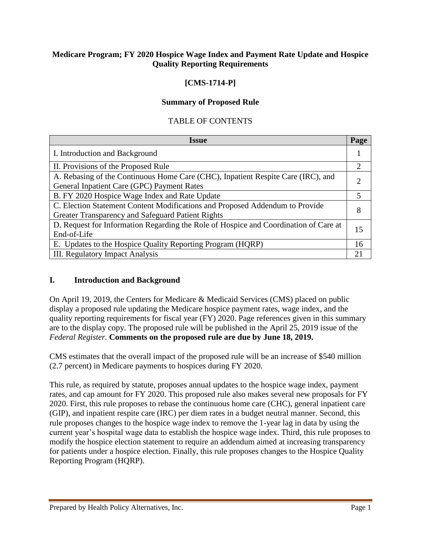### **Medicare Program; FY 2020 Hospice Wage Index and Payment Rate Update and Hospice Quality Reporting Requirements**

## **[CMS-1714-P]**

#### **Summary of Proposed Rule**

#### TABLE OF CONTENTS

| <b>Issue</b>                                                                                                                      | Page           |
|-----------------------------------------------------------------------------------------------------------------------------------|----------------|
| I. Introduction and Background                                                                                                    |                |
| II. Provisions of the Proposed Rule                                                                                               | $\overline{2}$ |
| A. Rebasing of the Continuous Home Care (CHC), Inpatient Respite Care (IRC), and                                                  |                |
| General Inpatient Care (GPC) Payment Rates<br>B. FY 2020 Hospice Wage Index and Rate Update                                       | 5              |
| C. Election Statement Content Modifications and Proposed Addendum to Provide<br>Greater Transparency and Safeguard Patient Rights | 8              |
| D. Request for Information Regarding the Role of Hospice and Coordination of Care at<br>End-of-Life                               | 15             |
| E. Updates to the Hospice Quality Reporting Program (HQRP)                                                                        | 16             |
| <b>III. Regulatory Impact Analysis</b>                                                                                            | 21             |

#### **I. Introduction and Background**

On April 19, 2019, the Centers for Medicare & Medicaid Services (CMS) placed on public display a proposed rule updating the Medicare hospice payment rates, wage index, and the quality reporting requirements for fiscal year (FY) 2020. Page references given in this summary are to the display copy. The proposed rule will be published in the April 25, 2019 issue of the *Federal Register.* **Comments on the proposed rule are due by June 18, 2019.**

CMS estimates that the overall impact of the proposed rule will be an increase of \$540 million (2.7 percent) in Medicare payments to hospices during FY 2020.

This rule, as required by statute, proposes annual updates to the hospice wage index, payment rates, and cap amount for FY 2020. This proposed rule also makes several new proposals for FY 2020. First, this rule proposes to rebase the continuous home care (CHC), general inpatient care (GIP), and inpatient respite care (IRC) per diem rates in a budget neutral manner. Second, this rule proposes changes to the hospice wage index to remove the 1-year lag in data by using the current year's hospital wage data to establish the hospice wage index. Third, this rule proposes to modify the hospice election statement to require an addendum aimed at increasing transparency for patients under a hospice election. Finally, this rule proposes changes to the Hospice Quality Reporting Program (HQRP).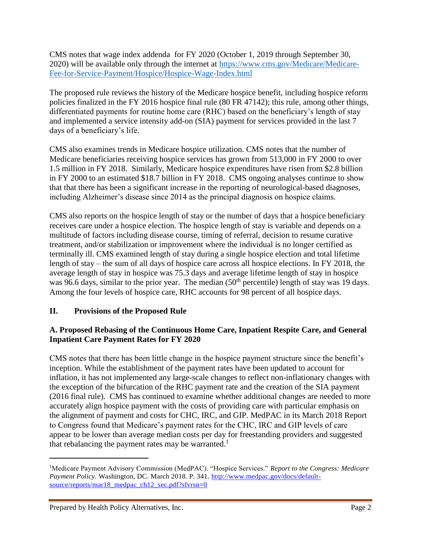CMS notes that wage index addenda for FY 2020 (October 1, 2019 through September 30, 2020) will be available only through the internet at [https://www.cms.gov/Medicare/Medicare-](https://www.cms.gov/Medicare/Medicare-Fee-for-Service-Payment/Hospice/Hospice-Wage-Index.html)[Fee-for-Service-Payment/Hospice/Hospice-Wage-Index.html](https://www.cms.gov/Medicare/Medicare-Fee-for-Service-Payment/Hospice/Hospice-Wage-Index.html)

The proposed rule reviews the history of the Medicare hospice benefit, including hospice reform policies finalized in the FY 2016 hospice final rule (80 FR 47142); this rule, among other things, differentiated payments for routine home care (RHC) based on the beneficiary's length of stay and implemented a service intensity add-on (SIA) payment for services provided in the last 7 days of a beneficiary's life.

CMS also examines trends in Medicare hospice utilization. CMS notes that the number of Medicare beneficiaries receiving hospice services has grown from 513,000 in FY 2000 to over 1.5 million in FY 2018. Similarly, Medicare hospice expenditures have risen from \$2.8 billion in FY 2000 to an estimated \$18.7 billion in FY 2018. CMS ongoing analyses continue to show that that there has been a significant increase in the reporting of neurological-based diagnoses, including Alzheimer's disease since 2014 as the principal diagnosis on hospice claims.

CMS also reports on the hospice length of stay or the number of days that a hospice beneficiary receives care under a hospice election. The hospice length of stay is variable and depends on a multitude of factors including disease course, timing of referral, decision to resume curative treatment, and/or stabilization or improvement where the individual is no longer certified as terminally ill. CMS examined length of stay during a single hospice election and total lifetime length of stay – the sum of all days of hospice care across all hospice elections. In FY 2018, the average length of stay in hospice was 75.3 days and average lifetime length of stay in hospice was 96.6 days, similar to the prior year. The median (50<sup>th</sup> percentile) length of stay was 19 days. Among the four levels of hospice care, RHC accounts for 98 percent of all hospice days.

## **II. Provisions of the Proposed Rule**

## **A. Proposed Rebasing of the Continuous Home Care, Inpatient Respite Care, and General Inpatient Care Payment Rates for FY 2020**

CMS notes that there has been little change in the hospice payment structure since the benefit's inception. While the establishment of the payment rates have been updated to account for inflation, it has not implemented any large-scale changes to reflect non-inflationary changes with the exception of the bifurcation of the RHC payment rate and the creation of the SIA payment (2016 final rule). CMS has continued to examine whether additional changes are needed to more accurately align hospice payment with the costs of providing care with particular emphasis on the alignment of payment and costs for CHC, IRC, and GIP. MedPAC in its March 2018 Report to Congress found that Medicare's payment rates for the CHC, IRC and GIP levels of care appear to be lower than average median costs per day for freestanding providers and suggested that rebalancing the payment rates may be warranted.<sup>1</sup>

 $\overline{a}$ 

<sup>1</sup>Medicare Payment Advisory Commission (MedPAC). "Hospice Services." *Report to the Congress: Medicare*  Payment Policy. Washington, DC. March 2018. P. 341. http://www.medpac.gov/docs/defaultsource/reports/mar18\_medpac\_ch12\_sec.pdf?sfvrsn=0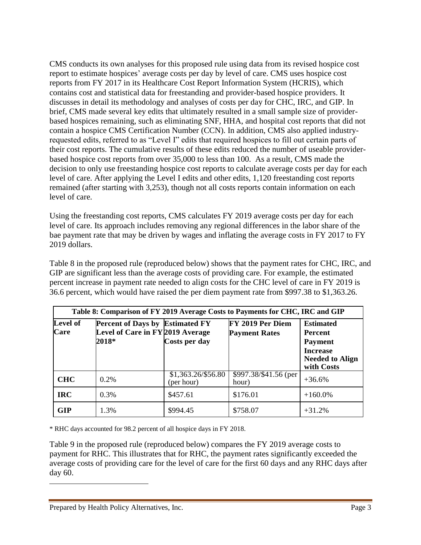CMS conducts its own analyses for this proposed rule using data from its revised hospice cost report to estimate hospices' average costs per day by level of care. CMS uses hospice cost reports from FY 2017 in its Healthcare Cost Report Information System (HCRIS), which contains cost and statistical data for freestanding and provider-based hospice providers. It discusses in detail its methodology and analyses of costs per day for CHC, IRC, and GIP. In brief, CMS made several key edits that ultimately resulted in a small sample size of providerbased hospices remaining, such as eliminating SNF, HHA, and hospital cost reports that did not contain a hospice CMS Certification Number (CCN). In addition, CMS also applied industryrequested edits, referred to as "Level I" edits that required hospices to fill out certain parts of their cost reports. The cumulative results of these edits reduced the number of useable providerbased hospice cost reports from over 35,000 to less than 100. As a result, CMS made the decision to only use freestanding hospice cost reports to calculate average costs per day for each level of care. After applying the Level I edits and other edits, 1,120 freestanding cost reports remained (after starting with 3,253), though not all costs reports contain information on each level of care.

Using the freestanding cost reports, CMS calculates FY 2019 average costs per day for each level of care. Its approach includes removing any regional differences in the labor share of the bae payment rate that may be driven by wages and inflating the average costs in FY 2017 to FY 2019 dollars.

Table 8 in the proposed rule (reproduced below) shows that the payment rates for CHC, IRC, and GIP are significant less than the average costs of providing care. For example, the estimated percent increase in payment rate needed to align costs for the CHC level of care in FY 2019 is 36.6 percent, which would have raised the per diem payment rate from \$997.38 to \$1,363.26.

| Table 8: Comparison of FY 2019 Average Costs to Payments for CHC, IRC and GIP |                                                                                     |                                  |                                          |                                                                                                                 |  |  |
|-------------------------------------------------------------------------------|-------------------------------------------------------------------------------------|----------------------------------|------------------------------------------|-----------------------------------------------------------------------------------------------------------------|--|--|
| <b>Level of</b><br>Care                                                       | <b>Percent of Days by Estimated FY</b><br>Level of Care in FY 2019 Average<br>2018* | Costs per day                    | FY 2019 Per Diem<br><b>Payment Rates</b> | <b>Estimated</b><br><b>Percent</b><br><b>Payment</b><br><b>Increase</b><br><b>Needed to Align</b><br>with Costs |  |  |
| <b>CHC</b>                                                                    | $0.2\%$                                                                             | \$1,363.26/\$56.80<br>(per hour) | \$997.38/\$41.56 (per<br>hour)           | $+36.6%$                                                                                                        |  |  |
| <b>IRC</b>                                                                    | 0.3%                                                                                | \$457.61                         | \$176.01                                 | $+160.0\%$                                                                                                      |  |  |
| <b>GIP</b>                                                                    | 1.3%                                                                                | \$994.45                         | \$758.07                                 | $+31.2%$                                                                                                        |  |  |

\* RHC days accounted for 98.2 percent of all hospice days in FY 2018.

Table 9 in the proposed rule (reproduced below) compares the FY 2019 average costs to payment for RHC. This illustrates that for RHC, the payment rates significantly exceeded the average costs of providing care for the level of care for the first 60 days and any RHC days after day 60.

 $\overline{\phantom{a}}$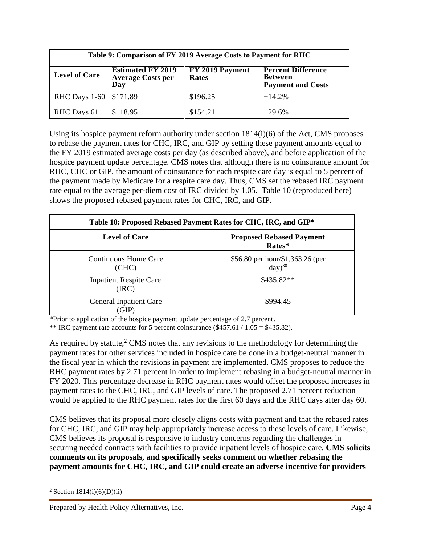| Table 9: Comparison of FY 2019 Average Costs to Payment for RHC                                                                                                                            |          |          |          |  |  |  |
|--------------------------------------------------------------------------------------------------------------------------------------------------------------------------------------------|----------|----------|----------|--|--|--|
| FY 2019 Payment<br><b>Estimated FY 2019</b><br><b>Percent Difference</b><br><b>Level of Care</b><br><b>Average Costs per</b><br><b>Between</b><br>Rates<br><b>Payment and Costs</b><br>Day |          |          |          |  |  |  |
| RHC Days 1-60 \$171.89                                                                                                                                                                     |          | \$196.25 | $+14.2%$ |  |  |  |
| RHC Days $61+$                                                                                                                                                                             | \$118.95 | \$154.21 | $+29.6%$ |  |  |  |

Using its hospice payment reform authority under section  $1814(i)(6)$  of the Act, CMS proposes to rebase the payment rates for CHC, IRC, and GIP by setting these payment amounts equal to the FY 2019 estimated average costs per day (as described above), and before application of the hospice payment update percentage. CMS notes that although there is no coinsurance amount for RHC, CHC or GIP, the amount of coinsurance for each respite care day is equal to 5 percent of the payment made by Medicare for a respite care day. Thus, CMS set the rebased IRC payment rate equal to the average per-diem cost of IRC divided by 1.05. Table 10 (reproduced here) shows the proposed rebased payment rates for CHC, IRC, and GIP.

| Table 10: Proposed Rebased Payment Rates for CHC, IRC, and GIP* |                                                 |  |  |  |
|-----------------------------------------------------------------|-------------------------------------------------|--|--|--|
| <b>Level of Care</b>                                            | <b>Proposed Rebased Payment</b><br>Rates*       |  |  |  |
| Continuous Home Care<br>(CHC)                                   | \$56.80 per hour/\$1,363.26 (per<br>$day)^{30}$ |  |  |  |
| <b>Inpatient Respite Care</b><br>(IRC)                          | $$435.82**$                                     |  |  |  |
| <b>General Inpatient Care</b><br>GIP)                           | \$994.45                                        |  |  |  |

\*Prior to application of the hospice payment update percentage of 2.7 percent.

\*\* IRC payment rate accounts for 5 percent coinsurance  $(\$457.61 / 1.05 = \$435.82)$ .

As required by statute, $2 \text{ CMS}$  notes that any revisions to the methodology for determining the payment rates for other services included in hospice care be done in a budget-neutral manner in the fiscal year in which the revisions in payment are implemented. CMS proposes to reduce the RHC payment rates by 2.71 percent in order to implement rebasing in a budget-neutral manner in FY 2020. This percentage decrease in RHC payment rates would offset the proposed increases in payment rates to the CHC, IRC, and GIP levels of care. The proposed 2.71 percent reduction would be applied to the RHC payment rates for the first 60 days and the RHC days after day 60.

CMS believes that its proposal more closely aligns costs with payment and that the rebased rates for CHC, IRC, and GIP may help appropriately increase access to these levels of care. Likewise, CMS believes its proposal is responsive to industry concerns regarding the challenges in securing needed contracts with facilities to provide inpatient levels of hospice care. **CMS solicits comments on its proposals, and specifically seeks comment on whether rebasing the payment amounts for CHC, IRC, and GIP could create an adverse incentive for providers** 

 $\overline{\phantom{a}}$ 

<sup>&</sup>lt;sup>2</sup> Section  $1814(i)(6)(D)(ii)$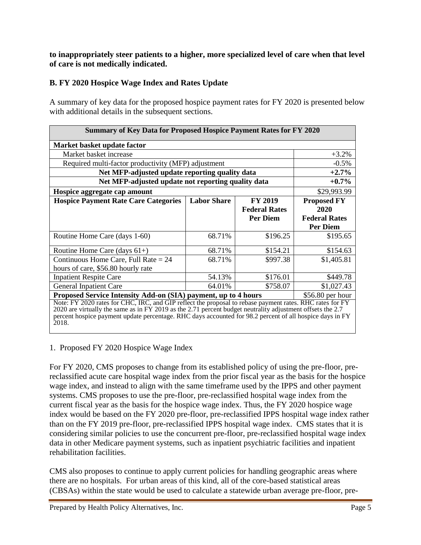### **to inappropriately steer patients to a higher, more specialized level of care when that level of care is not medically indicated.**

## **B. FY 2020 Hospice Wage Index and Rates Update**

A summary of key data for the proposed hospice payment rates for FY 2020 is presented below with additional details in the subsequent sections.

| <b>Summary of Key Data for Proposed Hospice Payment Rates for FY 2020</b>                                                                                                                                                                                                                                                                   |                      |                      |                    |  |  |  |
|---------------------------------------------------------------------------------------------------------------------------------------------------------------------------------------------------------------------------------------------------------------------------------------------------------------------------------------------|----------------------|----------------------|--------------------|--|--|--|
| Market basket update factor                                                                                                                                                                                                                                                                                                                 |                      |                      |                    |  |  |  |
| Market basket increase                                                                                                                                                                                                                                                                                                                      |                      |                      | $+3.2%$            |  |  |  |
| Required multi-factor productivity (MFP) adjustment                                                                                                                                                                                                                                                                                         |                      |                      | $-0.5\%$           |  |  |  |
| Net MFP-adjusted update reporting quality data                                                                                                                                                                                                                                                                                              |                      |                      | $+2.7%$            |  |  |  |
| Net MFP-adjusted update not reporting quality data                                                                                                                                                                                                                                                                                          |                      |                      | $+0.7\%$           |  |  |  |
| Hospice aggregate cap amount                                                                                                                                                                                                                                                                                                                |                      |                      | \$29,993.99        |  |  |  |
| <b>Hospice Payment Rate Care Categories</b>                                                                                                                                                                                                                                                                                                 | <b>Labor Share</b>   | <b>FY 2019</b>       | <b>Proposed FY</b> |  |  |  |
|                                                                                                                                                                                                                                                                                                                                             |                      | <b>Federal Rates</b> | 2020               |  |  |  |
|                                                                                                                                                                                                                                                                                                                                             | <b>Federal Rates</b> |                      |                    |  |  |  |
|                                                                                                                                                                                                                                                                                                                                             |                      |                      | <b>Per Diem</b>    |  |  |  |
| Routine Home Care (days 1-60)                                                                                                                                                                                                                                                                                                               | 68.71%               | \$196.25             | \$195.65           |  |  |  |
| Routine Home Care (days $61+)$                                                                                                                                                                                                                                                                                                              | 68.71%               | \$154.21             | \$154.63           |  |  |  |
| Continuous Home Care, Full Rate $= 24$                                                                                                                                                                                                                                                                                                      | 68.71%               | \$997.38             | \$1,405.81         |  |  |  |
| hours of care, \$56.80 hourly rate                                                                                                                                                                                                                                                                                                          |                      |                      |                    |  |  |  |
| <b>Inpatient Respite Care</b>                                                                                                                                                                                                                                                                                                               | 54.13%               | \$176.01             | \$449.78           |  |  |  |
| 64.01%<br>\$758.07<br>\$1,027.43<br>General Inpatient Care                                                                                                                                                                                                                                                                                  |                      |                      |                    |  |  |  |
| Proposed Service Intensity Add-on (SIA) payment, up to 4 hours<br>$$56.80$ per hour                                                                                                                                                                                                                                                         |                      |                      |                    |  |  |  |
| Note: FY 2020 rates for CHC, IRC, and GIP reflect the proposal to rebase payment rates. RHC rates for FY<br>2020 are virtually the same as in FY 2019 as the 2.71 percent budget neutrality adjustment offsets the 2.7<br>percent hospice payment update percentage. RHC days accounted for 98.2 percent of all hospice days in FY<br>2018. |                      |                      |                    |  |  |  |

1. Proposed FY 2020 Hospice Wage Index

For FY 2020, CMS proposes to change from its established policy of using the pre-floor, prereclassified acute care hospital wage index from the prior fiscal year as the basis for the hospice wage index, and instead to align with the same timeframe used by the IPPS and other payment systems. CMS proposes to use the pre-floor, pre-reclassified hospital wage index from the current fiscal year as the basis for the hospice wage index. Thus, the FY 2020 hospice wage index would be based on the FY 2020 pre-floor, pre-reclassified IPPS hospital wage index rather than on the FY 2019 pre-floor, pre-reclassified IPPS hospital wage index. CMS states that it is considering similar policies to use the concurrent pre-floor, pre-reclassified hospital wage index data in other Medicare payment systems, such as inpatient psychiatric facilities and inpatient rehabilitation facilities.

CMS also proposes to continue to apply current policies for handling geographic areas where there are no hospitals. For urban areas of this kind, all of the core-based statistical areas (CBSAs) within the state would be used to calculate a statewide urban average pre-floor, pre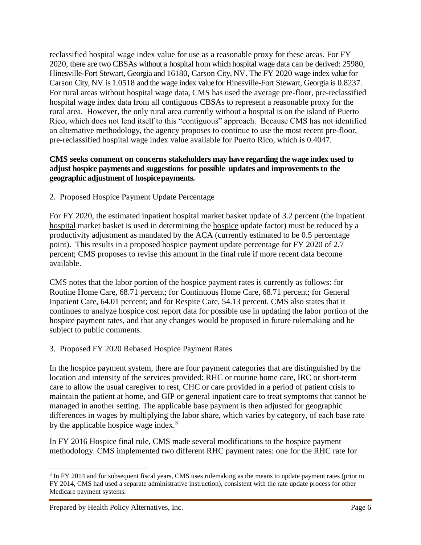reclassified hospital wage index value for use as a reasonable proxy for these areas. For FY 2020, there are two CBSAs without a hospital from which hospital wage data can be derived: 25980, Hinesville-Fort Stewart, Georgia and 16180, Carson City, NV. The FY 2020 wage index value for Carson City, NV is 1.0518 and the wage index value for Hinesville-Fort Stewart, Georgia is 0.8237. For rural areas without hospital wage data, CMS has used the average pre-floor, pre-reclassified hospital wage index data from all contiguous CBSAs to represent a reasonable proxy for the rural area. However, the only rural area currently without a hospital is on the island of Puerto Rico, which does not lend itself to this "contiguous" approach. Because CMS has not identified an alternative methodology, the agency proposes to continue to use the most recent pre-floor, pre-reclassified hospital wage index value available for Puerto Rico, which is 0.4047.

### **CMS seeks comment on concerns stakeholders may have regarding the wage index used to adjust hospice payments and suggestions for possible updates and improvements to the geographic adjustment of hospicepayments.**

2. Proposed Hospice Payment Update Percentage

For FY 2020, the estimated inpatient hospital market basket update of 3.2 percent (the inpatient hospital market basket is used in determining the hospice update factor) must be reduced by a productivity adjustment as mandated by the ACA (currently estimated to be 0.5 percentage point). This results in a proposed hospice payment update percentage for FY 2020 of 2.7 percent; CMS proposes to revise this amount in the final rule if more recent data become available.

CMS notes that the labor portion of the hospice payment rates is currently as follows: for Routine Home Care, 68.71 percent; for Continuous Home Care, 68.71 percent; for General Inpatient Care, 64.01 percent; and for Respite Care, 54.13 percent. CMS also states that it continues to analyze hospice cost report data for possible use in updating the labor portion of the hospice payment rates, and that any changes would be proposed in future rulemaking and be subject to public comments.

## 3. Proposed FY 2020 Rebased Hospice Payment Rates

In the hospice payment system, there are four payment categories that are distinguished by the location and intensity of the services provided: RHC or routine home care, IRC or short-term care to allow the usual caregiver to rest, CHC or care provided in a period of patient crisis to maintain the patient at home, and GIP or general inpatient care to treat symptoms that cannot be managed in another setting. The applicable base payment is then adjusted for geographic differences in wages by multiplying the labor share, which varies by category, of each base rate by the applicable hospice wage index.<sup>3</sup>

In FY 2016 Hospice final rule, CMS made several modifications to the hospice payment methodology. CMS implemented two different RHC payment rates: one for the RHC rate for

 $\overline{\phantom{a}}$ 

<sup>&</sup>lt;sup>3</sup> In FY 2014 and for subsequent fiscal years, CMS uses rulemaking as the means to update payment rates (prior to FY 2014, CMS had used a separate administrative instruction), consistent with the rate update process for other Medicare payment systems.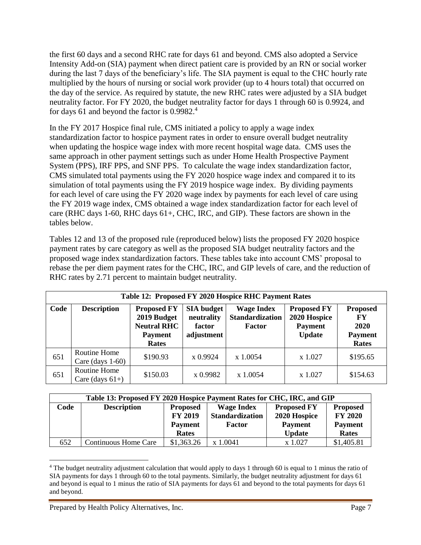the first 60 days and a second RHC rate for days 61 and beyond. CMS also adopted a Service Intensity Add-on (SIA) payment when direct patient care is provided by an RN or social worker during the last 7 days of the beneficiary's life. The SIA payment is equal to the CHC hourly rate multiplied by the hours of nursing or social work provider (up to 4 hours total) that occurred on the day of the service. As required by statute, the new RHC rates were adjusted by a SIA budget neutrality factor. For FY 2020, the budget neutrality factor for days 1 through 60 is 0.9924, and for days 61 and beyond the factor is 0.9982.<sup>4</sup>

In the FY 2017 Hospice final rule, CMS initiated a policy to apply a wage index standardization factor to hospice payment rates in order to ensure overall budget neutrality when updating the hospice wage index with more recent hospital wage data. CMS uses the same approach in other payment settings such as under Home Health Prospective Payment System (PPS), IRF PPS, and SNF PPS. To calculate the wage index standardization factor, CMS simulated total payments using the FY 2020 hospice wage index and compared it to its simulation of total payments using the FY 2019 hospice wage index. By dividing payments for each level of care using the FY 2020 wage index by payments for each level of care using the FY 2019 wage index, CMS obtained a wage index standardization factor for each level of care (RHC days 1-60, RHC days 61+, CHC, IRC, and GIP). These factors are shown in the tables below.

Tables 12 and 13 of the proposed rule (reproduced below) lists the proposed FY 2020 hospice payment rates by care category as well as the proposed SIA budget neutrality factors and the proposed wage index standardization factors. These tables take into account CMS' proposal to rebase the per diem payment rates for the CHC, IRC, and GIP levels of care, and the reduction of RHC rates by 2.71 percent to maintain budget neutrality.

|      | Table 12: Proposed FY 2020 Hospice RHC Payment Rates |                                                                                           |                                                         |                                                              |                                                                       |                                                          |  |  |
|------|------------------------------------------------------|-------------------------------------------------------------------------------------------|---------------------------------------------------------|--------------------------------------------------------------|-----------------------------------------------------------------------|----------------------------------------------------------|--|--|
| Code | <b>Description</b>                                   | <b>Proposed FY</b><br>2019 Budget<br><b>Neutral RHC</b><br><b>Payment</b><br><b>Rates</b> | <b>SIA</b> budget<br>neutrality<br>factor<br>adjustment | <b>Wage Index</b><br><b>Standardization</b><br><b>Factor</b> | <b>Proposed FY</b><br>2020 Hospice<br><b>Payment</b><br><b>Update</b> | <b>Proposed</b><br>FY<br>2020<br><b>Payment</b><br>Rates |  |  |
| 651  | Routine Home<br>Care $\frac{days}{1-60}$             | \$190.93                                                                                  | x 0.9924                                                | x 1.0054                                                     | x 1.027                                                               | \$195.65                                                 |  |  |
| 651  | Routine Home<br>Care (days $61+$ )                   | \$150.03                                                                                  | x 0.9982                                                | $x\,1.0054$                                                  | x 1.027                                                               | \$154.63                                                 |  |  |

| Table 13: Proposed FY 2020 Hospice Payment Rates for CHC, IRC, and GIP |                             |                                   |                                             |                                    |                                   |  |
|------------------------------------------------------------------------|-----------------------------|-----------------------------------|---------------------------------------------|------------------------------------|-----------------------------------|--|
| Code                                                                   | <b>Description</b>          | <b>Proposed</b><br><b>FY 2019</b> | <b>Wage Index</b><br><b>Standardization</b> | <b>Proposed FY</b><br>2020 Hospice | <b>Proposed</b><br><b>FY 2020</b> |  |
|                                                                        |                             | <b>Payment</b><br>Rates           | <b>Factor</b>                               | <b>Payment</b><br><b>Update</b>    | <b>Payment</b><br>Rates           |  |
| 652                                                                    | <b>Continuous Home Care</b> | \$1,363.26                        | x 1.0041                                    | x 1.027                            | \$1,405.81                        |  |

 $\overline{a}$ <sup>4</sup> The budget neutrality adjustment calculation that would apply to days 1 through 60 is equal to 1 minus the ratio of SIA payments for days 1 through 60 to the total payments. Similarly, the budget neutrality adjustment for days 61 and beyond is equal to 1 minus the ratio of SIA payments for days 61 and beyond to the total payments for days 61 and beyond.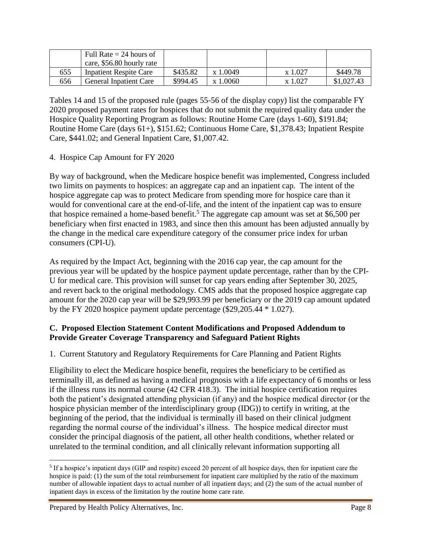|     | Full Rate $= 24$ hours of |          |             |         |            |
|-----|---------------------------|----------|-------------|---------|------------|
|     | care, \$56.80 hourly rate |          |             |         |            |
| 655 | Inpatient Respite Care    | \$435.82 | x 1.0049    | x 1.027 | \$449.78   |
| 656 | General Inpatient Care    | \$994.45 | $x\,1.0060$ | x 1.027 | \$1,027.43 |

Tables 14 and 15 of the proposed rule (pages 55-56 of the display copy) list the comparable FY 2020 proposed payment rates for hospices that do not submit the required quality data under the Hospice Quality Reporting Program as follows: Routine Home Care (days 1-60), \$191.84; Routine Home Care (days 61+), \$151.62; Continuous Home Care, \$1,378.43; Inpatient Respite Care, \$441.02; and General Inpatient Care, \$1,007.42.

## 4. Hospice Cap Amount for FY 2020

By way of background, when the Medicare hospice benefit was implemented, Congress included two limits on payments to hospices: an aggregate cap and an inpatient cap. The intent of the hospice aggregate cap was to protect Medicare from spending more for hospice care than it would for conventional care at the end-of-life, and the intent of the inpatient cap was to ensure that hospice remained a home-based benefit.<sup>5</sup> The aggregate cap amount was set at \$6,500 per beneficiary when first enacted in 1983, and since then this amount has been adjusted annually by the change in the medical care expenditure category of the consumer price index for urban consumers (CPI-U).

As required by the Impact Act, beginning with the 2016 cap year, the cap amount for the previous year will be updated by the hospice payment update percentage, rather than by the CPI-U for medical care. This provision will sunset for cap years ending after September 30, 2025, and revert back to the original methodology. CMS adds that the proposed hospice aggregate cap amount for the 2020 cap year will be \$29,993.99 per beneficiary or the 2019 cap amount updated by the FY 2020 hospice payment update percentage (\$29,205.44 \* 1.027).

### **C. Proposed Election Statement Content Modifications and Proposed Addendum to Provide Greater Coverage Transparency and Safeguard Patient Rights**

1. Current Statutory and Regulatory Requirements for Care Planning and Patient Rights

Eligibility to elect the Medicare hospice benefit, requires the beneficiary to be certified as terminally ill, as defined as having a medical prognosis with a life expectancy of 6 months or less if the illness runs its normal course (42 CFR 418.3). The initial hospice certification requires both the patient's designated attending physician (if any) and the hospice medical director (or the hospice physician member of the interdisciplinary group (IDG)) to certify in writing, at the beginning of the period, that the individual is terminally ill based on their clinical judgment regarding the normal course of the individual's illness. The hospice medical director must consider the principal diagnosis of the patient, all other health conditions, whether related or unrelated to the terminal condition, and all clinically relevant information supporting all

 $\overline{a}$ 

<sup>&</sup>lt;sup>5</sup> If a hospice's inpatient days (GIP and respite) exceed 20 percent of all hospice days, then for inpatient care the hospice is paid: (1) the sum of the total reimbursement for inpatient care multiplied by the ratio of the maximum number of allowable inpatient days to actual number of all inpatient days; and (2) the sum of the actual number of inpatient days in excess of the limitation by the routine home care rate.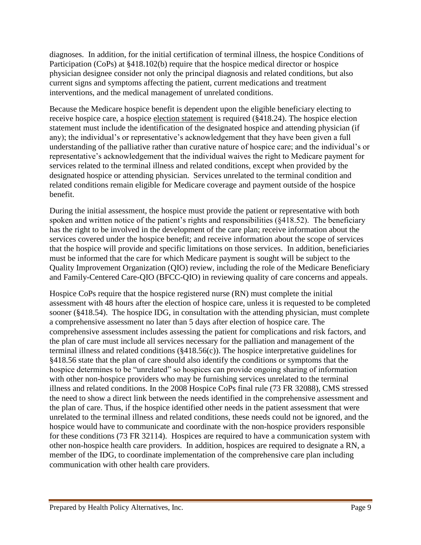diagnoses. In addition, for the initial certification of terminal illness, the hospice Conditions of Participation (CoPs) at §418.102(b) require that the hospice medical director or hospice physician designee consider not only the principal diagnosis and related conditions, but also current signs and symptoms affecting the patient, current medications and treatment interventions, and the medical management of unrelated conditions.

Because the Medicare hospice benefit is dependent upon the eligible beneficiary electing to receive hospice care, a hospice election statement is required (§418.24). The hospice election statement must include the identification of the designated hospice and attending physician (if any); the individual's or representative's acknowledgement that they have been given a full understanding of the palliative rather than curative nature of hospice care; and the individual's or representative's acknowledgement that the individual waives the right to Medicare payment for services related to the terminal illness and related conditions, except when provided by the designated hospice or attending physician. Services unrelated to the terminal condition and related conditions remain eligible for Medicare coverage and payment outside of the hospice benefit.

During the initial assessment, the hospice must provide the patient or representative with both spoken and written notice of the patient's rights and responsibilities (§418.52). The beneficiary has the right to be involved in the development of the care plan; receive information about the services covered under the hospice benefit; and receive information about the scope of services that the hospice will provide and specific limitations on those services. In addition, beneficiaries must be informed that the care for which Medicare payment is sought will be subject to the Quality Improvement Organization (QIO) review, including the role of the Medicare Beneficiary and Family-Centered Care-QIO (BFCC-QIO) in reviewing quality of care concerns and appeals.

Hospice CoPs require that the hospice registered nurse (RN) must complete the initial assessment with 48 hours after the election of hospice care, unless it is requested to be completed sooner (§418.54). The hospice IDG, in consultation with the attending physician, must complete a comprehensive assessment no later than 5 days after election of hospice care. The comprehensive assessment includes assessing the patient for complications and risk factors, and the plan of care must include all services necessary for the palliation and management of the terminal illness and related conditions (§418.56(c)). The hospice interpretative guidelines for §418.56 state that the plan of care should also identify the conditions or symptoms that the hospice determines to be "unrelated" so hospices can provide ongoing sharing of information with other non-hospice providers who may be furnishing services unrelated to the terminal illness and related conditions. In the 2008 Hospice CoPs final rule (73 FR 32088), CMS stressed the need to show a direct link between the needs identified in the comprehensive assessment and the plan of care. Thus, if the hospice identified other needs in the patient assessment that were unrelated to the terminal illness and related conditions, these needs could not be ignored, and the hospice would have to communicate and coordinate with the non-hospice providers responsible for these conditions (73 FR 32114). Hospices are required to have a communication system with other non-hospice health care providers. In addition, hospices are required to designate a RN, a member of the IDG, to coordinate implementation of the comprehensive care plan including communication with other health care providers.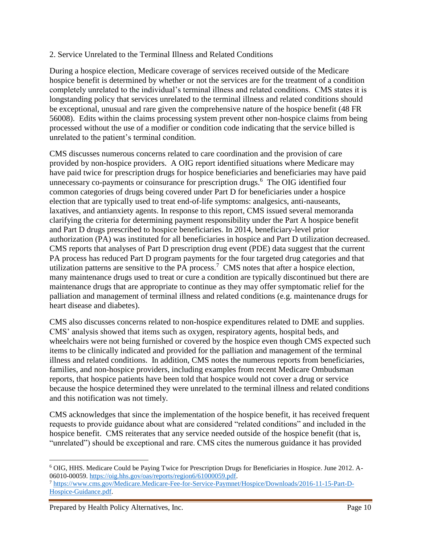### 2. Service Unrelated to the Terminal Illness and Related Conditions

During a hospice election, Medicare coverage of services received outside of the Medicare hospice benefit is determined by whether or not the services are for the treatment of a condition completely unrelated to the individual's terminal illness and related conditions. CMS states it is longstanding policy that services unrelated to the terminal illness and related conditions should be exceptional, unusual and rare given the comprehensive nature of the hospice benefit (48 FR 56008). Edits within the claims processing system prevent other non-hospice claims from being processed without the use of a modifier or condition code indicating that the service billed is unrelated to the patient's terminal condition.

CMS discusses numerous concerns related to care coordination and the provision of care provided by non-hospice providers. A OIG report identified situations where Medicare may have paid twice for prescription drugs for hospice beneficiaries and beneficiaries may have paid unnecessary co-payments or coinsurance for prescription drugs.<sup>6</sup> The OIG identified four common categories of drugs being covered under Part D for beneficiaries under a hospice election that are typically used to treat end-of-life symptoms: analgesics, anti-nauseants, laxatives, and antianxiety agents. In response to this report, CMS issued several memoranda clarifying the criteria for determining payment responsibility under the Part A hospice benefit and Part D drugs prescribed to hospice beneficiaries. In 2014, beneficiary-level prior authorization (PA) was instituted for all beneficiaries in hospice and Part D utilization decreased. CMS reports that analyses of Part D prescription drug event (PDE) data suggest that the current PA process has reduced Part D program payments for the four targeted drug categories and that utilization patterns are sensitive to the PA process.<sup>7</sup> CMS notes that after a hospice election, many maintenance drugs used to treat or cure a condition are typically discontinued but there are maintenance drugs that are appropriate to continue as they may offer symptomatic relief for the palliation and management of terminal illness and related conditions (e.g. maintenance drugs for heart disease and diabetes).

CMS also discusses concerns related to non-hospice expenditures related to DME and supplies. CMS' analysis showed that items such as oxygen, respiratory agents, hospital beds, and wheelchairs were not being furnished or covered by the hospice even though CMS expected such items to be clinically indicated and provided for the palliation and management of the terminal illness and related conditions. In addition, CMS notes the numerous reports from beneficiaries, families, and non-hospice providers, including examples from recent Medicare Ombudsman reports, that hospice patients have been told that hospice would not cover a drug or service because the hospice determined they were unrelated to the terminal illness and related conditions and this notification was not timely.

CMS acknowledges that since the implementation of the hospice benefit, it has received frequent requests to provide guidance about what are considered "related conditions" and included in the hospice benefit. CMS reiterates that any service needed outside of the hospice benefit (that is, "unrelated") should be exceptional and rare. CMS cites the numerous guidance it has provided

 $\overline{a}$ 

<sup>6</sup> OIG, HHS. Medicare Could be Paying Twice for Prescription Drugs for Beneficiaries in Hospice. June 2012. A-06010-00059. [https://oig.hhs.gov/oas/reports/region6/61000059.pdf.](https://oig.hhs.gov/oas/reports/region6/61000059.pdf)

<sup>7</sup> [https://www.cms.gov/Medicare.Medicare-Fee-for-Service-Paymnet/Hospice/Downloads/2016-11-15-Part-D-](https://www.cms.gov/Medicare.Medicare-Fee-for-Service-Paymnet/Hospice/Downloads/2016-11-15-Part-D-Hospice-Guidance.pdf)[Hospice-Guidance.pdf.](https://www.cms.gov/Medicare.Medicare-Fee-for-Service-Paymnet/Hospice/Downloads/2016-11-15-Part-D-Hospice-Guidance.pdf)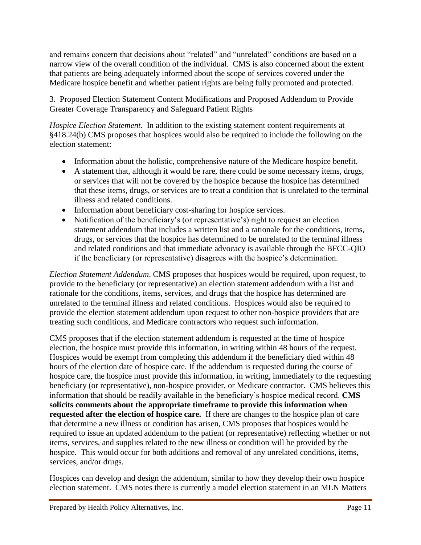and remains concern that decisions about "related" and "unrelated" conditions are based on a narrow view of the overall condition of the individual. CMS is also concerned about the extent that patients are being adequately informed about the scope of services covered under the Medicare hospice benefit and whether patient rights are being fully promoted and protected.

3. Proposed Election Statement Content Modifications and Proposed Addendum to Provide Greater Coverage Transparency and Safeguard Patient Rights

*Hospice Election Statement.* In addition to the existing statement content requirements at §418.24(b) CMS proposes that hospices would also be required to include the following on the election statement:

- Information about the holistic, comprehensive nature of the Medicare hospice benefit.
- A statement that, although it would be rare, there could be some necessary items, drugs, or services that will not be covered by the hospice because the hospice has determined that these items, drugs, or services are to treat a condition that is unrelated to the terminal illness and related conditions.
- Information about beneficiary cost-sharing for hospice services.
- Notification of the beneficiary's (or representative's) right to request an election statement addendum that includes a written list and a rationale for the conditions, items, drugs, or services that the hospice has determined to be unrelated to the terminal illness and related conditions and that immediate advocacy is available through the BFCC-QIO if the beneficiary (or representative) disagrees with the hospice's determination.

*Election Statement Addendum*. CMS proposes that hospices would be required, upon request, to provide to the beneficiary (or representative) an election statement addendum with a list and rationale for the conditions, items, services, and drugs that the hospice has determined are unrelated to the terminal illness and related conditions. Hospices would also be required to provide the election statement addendum upon request to other non-hospice providers that are treating such conditions, and Medicare contractors who request such information.

CMS proposes that if the election statement addendum is requested at the time of hospice election, the hospice must provide this information, in writing within 48 hours of the request. Hospices would be exempt from completing this addendum if the beneficiary died within 48 hours of the election date of hospice care. If the addendum is requested during the course of hospice care, the hospice must provide this information, in writing, immediately to the requesting beneficiary (or representative), non-hospice provider, or Medicare contractor. CMS believes this information that should be readily available in the beneficiary's hospice medical record. **CMS solicits comments about the appropriate timeframe to provide this information when requested after the election of hospice care.** If there are changes to the hospice plan of care that determine a new illness or condition has arisen, CMS proposes that hospices would be required to issue an updated addendum to the patient (or representative) reflecting whether or not items, services, and supplies related to the new illness or condition will be provided by the hospice. This would occur for both additions and removal of any unrelated conditions, items, services, and/or drugs.

Hospices can develop and design the addendum, similar to how they develop their own hospice election statement. CMS notes there is currently a model election statement in an MLN Matters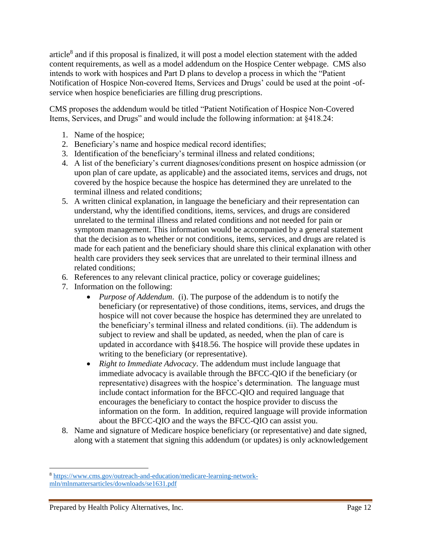article<sup>8</sup> and if this proposal is finalized, it will post a model election statement with the added content requirements, as well as a model addendum on the Hospice Center webpage. CMS also intends to work with hospices and Part D plans to develop a process in which the "Patient Notification of Hospice Non-covered Items, Services and Drugs' could be used at the point -ofservice when hospice beneficiaries are filling drug prescriptions.

CMS proposes the addendum would be titled "Patient Notification of Hospice Non-Covered Items, Services, and Drugs" and would include the following information: at §418.24:

- 1. Name of the hospice;
- 2. Beneficiary's name and hospice medical record identifies;
- 3. Identification of the beneficiary's terminal illness and related conditions;
- 4. A list of the beneficiary's current diagnoses/conditions present on hospice admission (or upon plan of care update, as applicable) and the associated items, services and drugs, not covered by the hospice because the hospice has determined they are unrelated to the terminal illness and related conditions;
- 5. A written clinical explanation, in language the beneficiary and their representation can understand, why the identified conditions, items, services, and drugs are considered unrelated to the terminal illness and related conditions and not needed for pain or symptom management. This information would be accompanied by a general statement that the decision as to whether or not conditions, items, services, and drugs are related is made for each patient and the beneficiary should share this clinical explanation with other health care providers they seek services that are unrelated to their terminal illness and related conditions;
- 6. References to any relevant clinical practice, policy or coverage guidelines;
- 7. Information on the following:
	- *Purpose of Addendum*. (i). The purpose of the addendum is to notify the beneficiary (or representative) of those conditions, items, services, and drugs the hospice will not cover because the hospice has determined they are unrelated to the beneficiary's terminal illness and related conditions. (ii). The addendum is subject to review and shall be updated, as needed, when the plan of care is updated in accordance with §418.56. The hospice will provide these updates in writing to the beneficiary (or representative).
	- *Right to Immediate Advocacy*. The addendum must include language that immediate advocacy is available through the BFCC-QIO if the beneficiary (or representative) disagrees with the hospice's determination. The language must include contact information for the BFCC-QIO and required language that encourages the beneficiary to contact the hospice provider to discuss the information on the form. In addition, required language will provide information about the BFCC-QIO and the ways the BFCC-QIO can assist you.
- 8. Name and signature of Medicare hospice beneficiary (or representative) and date signed, along with a statement that signing this addendum (or updates) is only acknowledgement

 $\overline{\phantom{a}}$ 

<sup>8</sup> [https://www.cms.gov/outreach-and-education/medicare-learning-network](https://www.cms.gov/outreach-and-education/medicare-learning-network-mln/mlnmattersarticles/downloads/se1631.pdf)[mln/mlnmattersarticles/downloads/se1631.pdf](https://www.cms.gov/outreach-and-education/medicare-learning-network-mln/mlnmattersarticles/downloads/se1631.pdf)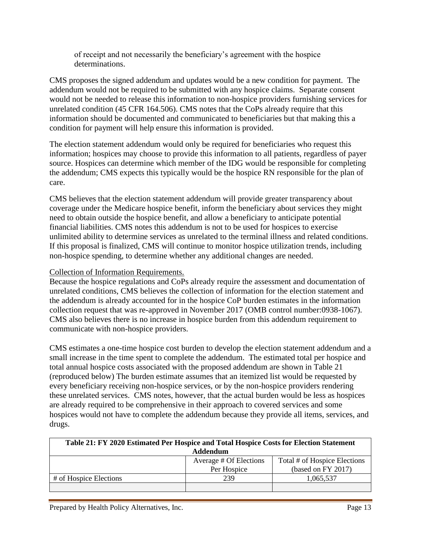of receipt and not necessarily the beneficiary's agreement with the hospice determinations.

CMS proposes the signed addendum and updates would be a new condition for payment. The addendum would not be required to be submitted with any hospice claims. Separate consent would not be needed to release this information to non-hospice providers furnishing services for unrelated condition (45 CFR 164.506). CMS notes that the CoPs already require that this information should be documented and communicated to beneficiaries but that making this a condition for payment will help ensure this information is provided.

The election statement addendum would only be required for beneficiaries who request this information; hospices may choose to provide this information to all patients, regardless of payer source. Hospices can determine which member of the IDG would be responsible for completing the addendum; CMS expects this typically would be the hospice RN responsible for the plan of care.

CMS believes that the election statement addendum will provide greater transparency about coverage under the Medicare hospice benefit, inform the beneficiary about services they might need to obtain outside the hospice benefit, and allow a beneficiary to anticipate potential financial liabilities. CMS notes this addendum is not to be used for hospices to exercise unlimited ability to determine services as unrelated to the terminal illness and related conditions. If this proposal is finalized, CMS will continue to monitor hospice utilization trends, including non-hospice spending, to determine whether any additional changes are needed.

#### Collection of Information Requirements.

Because the hospice regulations and CoPs already require the assessment and documentation of unrelated conditions, CMS believes the collection of information for the election statement and the addendum is already accounted for in the hospice CoP burden estimates in the information collection request that was re-approved in November 2017 (OMB control number:0938-1067). CMS also believes there is no increase in hospice burden from this addendum requirement to communicate with non-hospice providers.

CMS estimates a one-time hospice cost burden to develop the election statement addendum and a small increase in the time spent to complete the addendum. The estimated total per hospice and total annual hospice costs associated with the proposed addendum are shown in Table 21 (reproduced below) The burden estimate assumes that an itemized list would be requested by every beneficiary receiving non-hospice services, or by the non-hospice providers rendering these unrelated services. CMS notes, however, that the actual burden would be less as hospices are already required to be comprehensive in their approach to covered services and some hospices would not have to complete the addendum because they provide all items, services, and drugs.

| Table 21: FY 2020 Estimated Per Hospice and Total Hospice Costs for Election Statement |             |                    |  |  |  |  |
|----------------------------------------------------------------------------------------|-------------|--------------------|--|--|--|--|
| <b>Addendum</b>                                                                        |             |                    |  |  |  |  |
| Average # Of Elections<br>Total # of Hospice Elections                                 |             |                    |  |  |  |  |
|                                                                                        | Per Hospice | (based on FY 2017) |  |  |  |  |
| # of Hospice Elections                                                                 | 239         | 1,065,537          |  |  |  |  |
|                                                                                        |             |                    |  |  |  |  |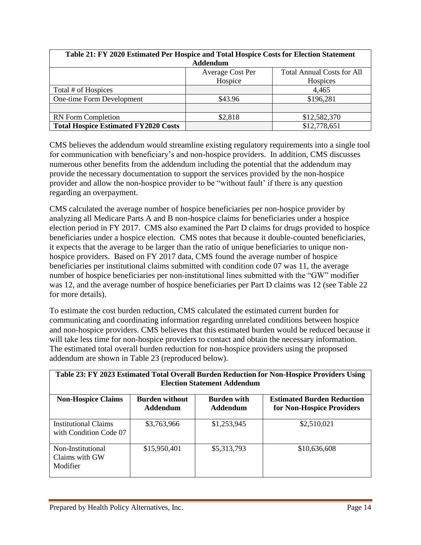| Table 21: FY 2020 Estimated Per Hospice and Total Hospice Costs for Election Statement |              |              |  |  |  |  |
|----------------------------------------------------------------------------------------|--------------|--------------|--|--|--|--|
| <b>Addendum</b>                                                                        |              |              |  |  |  |  |
| <b>Total Annual Costs for All</b><br>Average Cost Per                                  |              |              |  |  |  |  |
|                                                                                        | Hospice      | Hospices     |  |  |  |  |
| Total # of Hospices                                                                    |              | 4,465        |  |  |  |  |
| One-time Form Development                                                              | \$43.96      | \$196,281    |  |  |  |  |
|                                                                                        |              |              |  |  |  |  |
| <b>RN</b> Form Completion                                                              | \$2,818      | \$12,582,370 |  |  |  |  |
| <b>Total Hospice Estimated FY2020 Costs</b>                                            | \$12,778,651 |              |  |  |  |  |

CMS believes the addendum would streamline existing regulatory requirements into a single tool for communication with beneficiary's and non-hospice providers. In addition, CMS discusses numerous other benefits from the addendum including the potential that the addendum may provide the necessary documentation to support the services provided by the non-hospice provider and allow the non-hospice provider to be "without fault' if there is any question regarding an overpayment.

CMS calculated the average number of hospice beneficiaries per non-hospice provider by analyzing all Medicare Parts A and B non-hospice claims for beneficiaries under a hospice election period in FY 2017. CMS also examined the Part D claims for drugs provided to hospice beneficiaries under a hospice election. CMS notes that because it double-counted beneficiaries, it expects that the average to be larger than the ratio of unique beneficiaries to unique nonhospice providers. Based on FY 2017 data, CMS found the average number of hospice beneficiaries per institutional claims submitted with condition code 07 was 11, the average number of hospice beneficiaries per non-institutional lines submitted with the "GW" modifier was 12, and the average number of hospice beneficiaries per Part D claims was 12 (see Table 22 for more details).

To estimate the cost burden reduction, CMS calculated the estimated current burden for communicating and coordinating information regarding unrelated conditions between hospice and non-hospice providers. CMS believes that this estimated burden would be reduced because it will take less time for non-hospice providers to contact and obtain the necessary information. The estimated total overall burden reduction for non-hospice providers using the proposed addendum are shown in Table 23 (reproduced below).

| Table 23: FY 2023 Estimated Total Overall Burden Reduction for Non-Hospice Providers Using<br><b>Election Statement Addendum</b> |                                   |                                       |                                                                |  |  |  |
|----------------------------------------------------------------------------------------------------------------------------------|-----------------------------------|---------------------------------------|----------------------------------------------------------------|--|--|--|
| <b>Non-Hospice Claims</b>                                                                                                        | <b>Burden without</b><br>Addendum | <b>Burden with</b><br><b>Addendum</b> | <b>Estimated Burden Reduction</b><br>for Non-Hospice Providers |  |  |  |
| <b>Institutional Claims</b><br>with Condition Code 07                                                                            | \$3,763,966                       | \$1,253,945                           | \$2,510,021                                                    |  |  |  |
| Non-Institutional<br>Claims with GW<br>Modifier                                                                                  | \$15,950,401                      | \$5,313,793                           | \$10,636,608                                                   |  |  |  |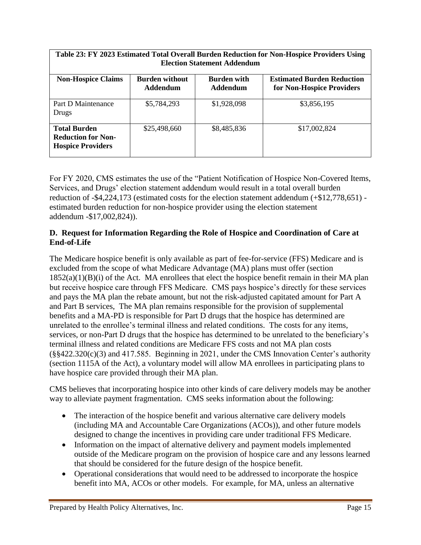| Table 23: FY 2023 Estimated Total Overall Burden Reduction for Non-Hospice Providers Using<br><b>Election Statement Addendum</b> |                                   |                                       |                                                                |  |  |  |
|----------------------------------------------------------------------------------------------------------------------------------|-----------------------------------|---------------------------------------|----------------------------------------------------------------|--|--|--|
| <b>Non-Hospice Claims</b>                                                                                                        | <b>Burden without</b><br>Addendum | <b>Burden with</b><br><b>Addendum</b> | <b>Estimated Burden Reduction</b><br>for Non-Hospice Providers |  |  |  |
| Part D Maintenance<br>Drugs                                                                                                      | \$5,784,293                       | \$1,928,098                           | \$3,856,195                                                    |  |  |  |
| <b>Total Burden</b><br><b>Reduction for Non-</b><br><b>Hospice Providers</b>                                                     | \$25,498,660                      | \$8,485,836                           | \$17,002,824                                                   |  |  |  |

For FY 2020, CMS estimates the use of the "Patient Notification of Hospice Non-Covered Items, Services, and Drugs' election statement addendum would result in a total overall burden reduction of -\$4,224,173 (estimated costs for the election statement addendum (+\$12,778,651) estimated burden reduction for non-hospice provider using the election statement addendum -\$17,002,824)).

## **D. Request for Information Regarding the Role of Hospice and Coordination of Care at End-of-Life**

The Medicare hospice benefit is only available as part of fee-for-service (FFS) Medicare and is excluded from the scope of what Medicare Advantage (MA) plans must offer (section  $1852(a)(1)(B)(i)$  of the Act. MA enrollees that elect the hospice benefit remain in their MA plan but receive hospice care through FFS Medicare. CMS pays hospice's directly for these services and pays the MA plan the rebate amount, but not the risk-adjusted capitated amount for Part A and Part B services, The MA plan remains responsible for the provision of supplemental benefits and a MA-PD is responsible for Part D drugs that the hospice has determined are unrelated to the enrollee's terminal illness and related conditions. The costs for any items, services, or non-Part D drugs that the hospice has determined to be unrelated to the beneficiary's terminal illness and related conditions are Medicare FFS costs and not MA plan costs (§§422.320(c)(3) and 417.585. Beginning in 2021, under the CMS Innovation Center's authority (section 1115A of the Act), a voluntary model will allow MA enrollees in participating plans to have hospice care provided through their MA plan.

CMS believes that incorporating hospice into other kinds of care delivery models may be another way to alleviate payment fragmentation. CMS seeks information about the following:

- The interaction of the hospice benefit and various alternative care delivery models (including MA and Accountable Care Organizations (ACOs)), and other future models designed to change the incentives in providing care under traditional FFS Medicare.
- Information on the impact of alternative delivery and payment models implemented outside of the Medicare program on the provision of hospice care and any lessons learned that should be considered for the future design of the hospice benefit.
- Operational considerations that would need to be addressed to incorporate the hospice benefit into MA, ACOs or other models. For example, for MA, unless an alternative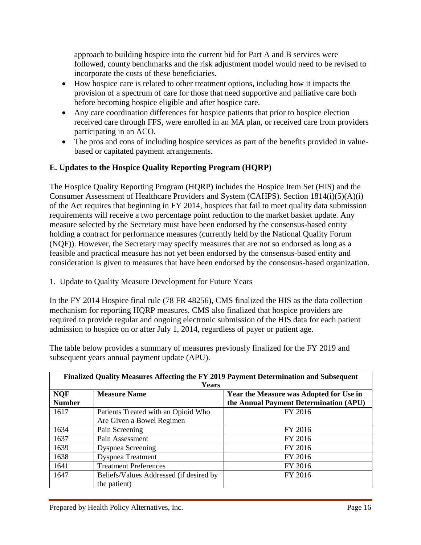approach to building hospice into the current bid for Part A and B services were followed, county benchmarks and the risk adjustment model would need to be revised to incorporate the costs of these beneficiaries.

- How hospice care is related to other treatment options, including how it impacts the provision of a spectrum of care for those that need supportive and palliative care both before becoming hospice eligible and after hospice care.
- Any care coordination differences for hospice patients that prior to hospice election received care through FFS, were enrolled in an MA plan, or received care from providers participating in an ACO.
- The pros and cons of including hospice services as part of the benefits provided in valuebased or capitated payment arrangements.

## **E. Updates to the Hospice Quality Reporting Program (HQRP)**

The Hospice Quality Reporting Program (HQRP) includes the Hospice Item Set (HIS) and the Consumer Assessment of Healthcare Providers and System (CAHPS). Section 1814(i)(5)(A)(i) of the Act requires that beginning in FY 2014, hospices that fail to meet quality data submission requirements will receive a two percentage point reduction to the market basket update. Any measure selected by the Secretary must have been endorsed by the consensus-based entity holding a contract for performance measures (currently held by the National Quality Forum (NQF)). However, the Secretary may specify measures that are not so endorsed as long as a feasible and practical measure has not yet been endorsed by the consensus-based entity and consideration is given to measures that have been endorsed by the consensus-based organization.

1. Update to Quality Measure Development for Future Years

In the FY 2014 Hospice final rule (78 FR 48256), CMS finalized the HIS as the data collection mechanism for reporting HQRP measures. CMS also finalized that hospice providers are required to provide regular and ongoing electronic submission of the HIS data for each patient admission to hospice on or after July 1, 2014, regardless of payer or patient age.

The table below provides a summary of measures previously finalized for the FY 2019 and subsequent years annual payment update (APU).

| Finalized Quality Measures Affecting the FY 2019 Payment Determination and Subsequent |                                         |                                         |  |  |
|---------------------------------------------------------------------------------------|-----------------------------------------|-----------------------------------------|--|--|
| <b>Years</b>                                                                          |                                         |                                         |  |  |
| <b>NQF</b>                                                                            | <b>Measure Name</b>                     | Year the Measure was Adopted for Use in |  |  |
| <b>Number</b>                                                                         |                                         | the Annual Payment Determination (APU)  |  |  |
| 1617                                                                                  | Patients Treated with an Opioid Who     | FY 2016                                 |  |  |
|                                                                                       | Are Given a Bowel Regimen               |                                         |  |  |
| 1634                                                                                  | Pain Screening                          | FY 2016                                 |  |  |
| 1637                                                                                  | Pain Assessment                         | FY 2016                                 |  |  |
| 1639                                                                                  | <b>Dyspnea Screening</b>                | FY 2016                                 |  |  |
| 1638                                                                                  | <b>Dyspnea Treatment</b>                | FY 2016                                 |  |  |
| 1641                                                                                  | <b>Treatment Preferences</b>            | FY 2016                                 |  |  |
| 1647                                                                                  | Beliefs/Values Addressed (if desired by | FY 2016                                 |  |  |
|                                                                                       | the patient)                            |                                         |  |  |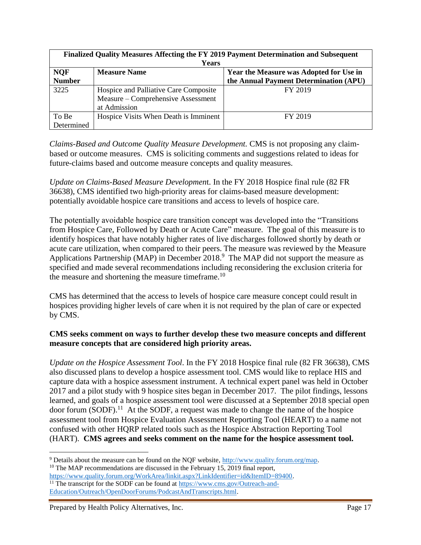| Finalized Quality Measures Affecting the FY 2019 Payment Determination and Subsequent |                                       |                                        |  |  |
|---------------------------------------------------------------------------------------|---------------------------------------|----------------------------------------|--|--|
| <b>Years</b>                                                                          |                                       |                                        |  |  |
| <b>NQF</b><br><b>Measure Name</b><br>Year the Measure was Adopted for Use in          |                                       |                                        |  |  |
| <b>Number</b>                                                                         |                                       | the Annual Payment Determination (APU) |  |  |
| 3225                                                                                  | Hospice and Palliative Care Composite | FY 2019                                |  |  |
|                                                                                       | Measure – Comprehensive Assessment    |                                        |  |  |
|                                                                                       | at Admission                          |                                        |  |  |
| To Be                                                                                 | Hospice Visits When Death is Imminent | FY 2019                                |  |  |
| Determined                                                                            |                                       |                                        |  |  |

*Claims-Based and Outcome Quality Measure Development.* CMS is not proposing any claimbased or outcome measures. CMS is soliciting comments and suggestions related to ideas for future-claims based and outcome measure concepts and quality measures.

*Update on Claims-Based Measure Developmen*t. In the FY 2018 Hospice final rule (82 FR 36638), CMS identified two high-priority areas for claims-based measure development: potentially avoidable hospice care transitions and access to levels of hospice care.

The potentially avoidable hospice care transition concept was developed into the "Transitions from Hospice Care, Followed by Death or Acute Care" measure. The goal of this measure is to identify hospices that have notably higher rates of live discharges followed shortly by death or acute care utilization, when compared to their peers. The measure was reviewed by the Measure Applications Partnership (MAP) in December 2018.<sup>9</sup> The MAP did not support the measure as specified and made several recommendations including reconsidering the exclusion criteria for the measure and shortening the measure timeframe.<sup>10</sup>

CMS has determined that the access to levels of hospice care measure concept could result in hospices providing higher levels of care when it is not required by the plan of care or expected by CMS.

## **CMS seeks comment on ways to further develop these two measure concepts and different measure concepts that are considered high priority areas.**

*Update on the Hospice Assessment Tool*. In the FY 2018 Hospice final rule (82 FR 36638), CMS also discussed plans to develop a hospice assessment tool. CMS would like to replace HIS and capture data with a hospice assessment instrument. A technical expert panel was held in October 2017 and a pilot study with 9 hospice sites began in December 2017. The pilot findings, lessons learned, and goals of a hospice assessment tool were discussed at a September 2018 special open door forum  $(SODF)$ .<sup>11</sup> At the SODF, a request was made to change the name of the hospice assessment tool from Hospice Evaluation Assessment Reporting Tool (HEART) to a name not confused with other HQRP related tools such as the Hospice Abstraction Reporting Tool (HART). **CMS agrees and seeks comment on the name for the hospice assessment tool.**

l

<sup>9</sup> Details about the measure can be found on the NQF website, [http://www.quality.forum.org/map.](http://www.quality.forum.org/map)  $10$  The MAP recommendations are discussed in the February 15, 2019 final report,

[https://www.quality.forum.org/WorkArea/linkit.aspx?LinkIdentifier=id&ItemID=89400.](https://www.quality.forum.org/WorkArea/linkit.aspx?LinkIdentifier=id&ItemID=89400)

<sup>&</sup>lt;sup>11</sup> The transcript for the SODF can be found at [https://www.cms.gov/Outreach-and-](https://www.cms.gov/Outreach-and-Education/Outreach/OpenDoorForums/PodcastAndTranscripts.html)[Education/Outreach/OpenDoorForums/PodcastAndTranscripts.html.](https://www.cms.gov/Outreach-and-Education/Outreach/OpenDoorForums/PodcastAndTranscripts.html)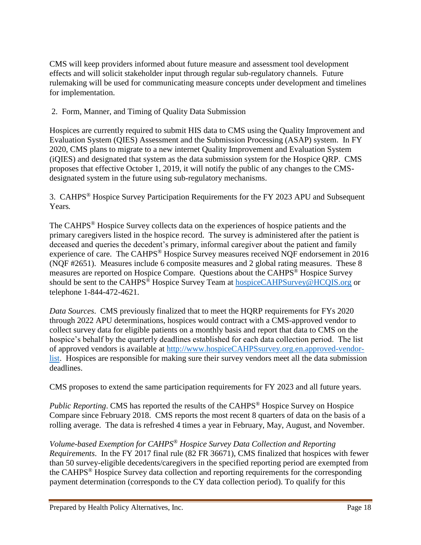CMS will keep providers informed about future measure and assessment tool development effects and will solicit stakeholder input through regular sub-regulatory channels. Future rulemaking will be used for communicating measure concepts under development and timelines for implementation.

2. Form, Manner, and Timing of Quality Data Submission

Hospices are currently required to submit HIS data to CMS using the Quality Improvement and Evaluation System (QIES) Assessment and the Submission Processing (ASAP) system. In FY 2020, CMS plans to migrate to a new internet Quality Improvement and Evaluation System (iQIES) and designated that system as the data submission system for the Hospice QRP. CMS proposes that effective October 1, 2019, it will notify the public of any changes to the CMSdesignated system in the future using sub-regulatory mechanisms.

3. CAHPS® Hospice Survey Participation Requirements for the FY 2023 APU and Subsequent Years*.*

The CAHPS<sup>®</sup> Hospice Survey collects data on the experiences of hospice patients and the primary caregivers listed in the hospice record. The survey is administered after the patient is deceased and queries the decedent's primary, informal caregiver about the patient and family experience of care. The CAHPS® Hospice Survey measures received NQF endorsement in 2016 (NQF #2651). Measures include 6 composite measures and 2 global rating measures. These 8 measures are reported on Hospice Compare. Questions about the CAHPS® Hospice Survey should be sent to the CAHPS<sup>®</sup> Hospice Survey Team at [hospiceCAHPSurvey@HCQIS.org](mailto:hospiceCAHPSurvey@HCQIS.org) or telephone 1-844-472-4621.

*Data Sources*. CMS previously finalized that to meet the HQRP requirements for FYs 2020 through 2022 APU determinations, hospices would contract with a CMS-approved vendor to collect survey data for eligible patients on a monthly basis and report that data to CMS on the hospice's behalf by the quarterly deadlines established for each data collection period. The list of approved vendors is available at [http://www.hospiceCAHPSsurvey.org.en.approved-vendor](http://www.hospicecahpssurvey.org.en.approved-vendor-list/)[list.](http://www.hospicecahpssurvey.org.en.approved-vendor-list/) Hospices are responsible for making sure their survey vendors meet all the data submission deadlines.

CMS proposes to extend the same participation requirements for FY 2023 and all future years.

*Public Reporting*. CMS has reported the results of the CAHPS<sup>®</sup> Hospice Survey on Hospice Compare since February 2018. CMS reports the most recent 8 quarters of data on the basis of a rolling average. The data is refreshed 4 times a year in February, May, August, and November.

*Volume-based Exemption for CAHPS® Hospice Survey Data Collection and Reporting Requirements*. In the FY 2017 final rule (82 FR 36671), CMS finalized that hospices with fewer than 50 survey-eligible decedents/caregivers in the specified reporting period are exempted from the CAHPS® Hospice Survey data collection and reporting requirements for the corresponding payment determination (corresponds to the CY data collection period). To qualify for this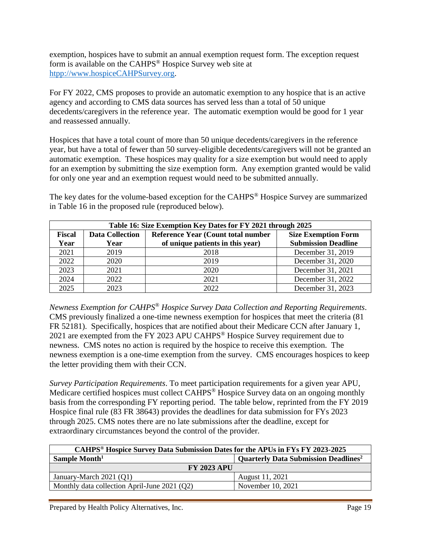exemption, hospices have to submit an annual exemption request form. The exception request form is available on the CAHPS® Hospice Survey web site at [htpp://www.hospiceCAHPSurvey.org.](file://///Users/Marjorie/Documents/Medicare%20Hospice/FY%202019/FY%202019%20PR/CAHPS%2525C2%2525AE%20Hospice%20Survey)

For FY 2022, CMS proposes to provide an automatic exemption to any hospice that is an active agency and according to CMS data sources has served less than a total of 50 unique decedents/caregivers in the reference year. The automatic exemption would be good for 1 year and reassessed annually.

Hospices that have a total count of more than 50 unique decedents/caregivers in the reference year, but have a total of fewer than 50 survey-eligible decedents/caregivers will not be granted an automatic exemption. These hospices may quality for a size exemption but would need to apply for an exemption by submitting the size exemption form. Any exemption granted would be valid for only one year and an exemption request would need to be submitted annually.

The key dates for the volume-based exception for the CAHPS® Hospice Survey are summarized in Table 16 in the proposed rule (reproduced below).

| Table 16: Size Exemption Key Dates for FY 2021 through 2025 |                        |                                                                          |                            |  |  |  |
|-------------------------------------------------------------|------------------------|--------------------------------------------------------------------------|----------------------------|--|--|--|
| <b>Fiscal</b>                                               | <b>Data Collection</b> | <b>Reference Year (Count total number)</b><br><b>Size Exemption Form</b> |                            |  |  |  |
| Year                                                        | Year                   | of unique patients in this year)                                         | <b>Submission Deadline</b> |  |  |  |
| 2021                                                        | 2019                   | 2018                                                                     | December 31, 2019          |  |  |  |
| 2022                                                        | 2020                   | 2019                                                                     | December 31, 2020          |  |  |  |
| 2023                                                        | 2021                   | 2020                                                                     | December 31, 2021          |  |  |  |
| 2024                                                        | 2022                   | 2021                                                                     | December 31, 2022          |  |  |  |
| 2025                                                        | 2023                   | 2022                                                                     | December 31, 2023          |  |  |  |

*Newness Exemption for CAHPS® Hospice Survey Data Collection and Reporting Requirements*. CMS previously finalized a one-time newness exemption for hospices that meet the criteria (81 FR 52181). Specifically, hospices that are notified about their Medicare CCN after January 1, 2021 are exempted from the FY 2023 APU CAHPS® Hospice Survey requirement due to newness. CMS notes no action is required by the hospice to receive this exemption. The newness exemption is a one-time exemption from the survey. CMS encourages hospices to keep the letter providing them with their CCN.

*Survey Participation Requirements*. To meet participation requirements for a given year APU, Medicare certified hospices must collect CAHPS<sup>®</sup> Hospice Survey data on an ongoing monthly basis from the corresponding FY reporting period. The table below, reprinted from the FY 2019 Hospice final rule (83 FR 38643) provides the deadlines for data submission for FYs 2023 through 2025. CMS notes there are no late submissions after the deadline, except for extraordinary circumstances beyond the control of the provider.

| CAHPS® Hospice Survey Data Submission Dates for the APUs in FYs FY 2023-2025 |                                                        |  |  |  |
|------------------------------------------------------------------------------|--------------------------------------------------------|--|--|--|
| Sample Month <sup>1</sup>                                                    | <b>Quarterly Data Submission Deadlines<sup>2</sup></b> |  |  |  |
| <b>FY 2023 APU</b>                                                           |                                                        |  |  |  |
| January-March 2021 (Q1)                                                      | August 11, 2021                                        |  |  |  |
| Monthly data collection April-June 2021 (Q2)                                 | November 10, 2021                                      |  |  |  |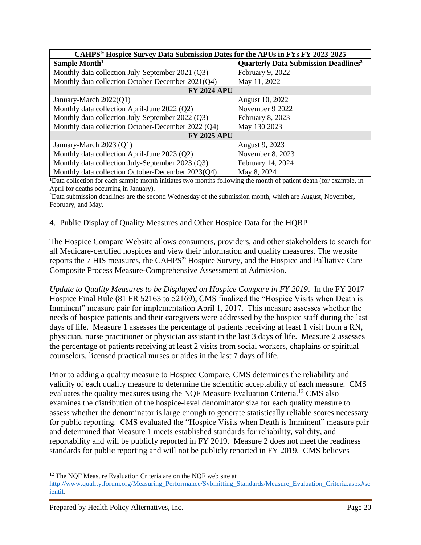| CAHPS <sup>®</sup> Hospice Survey Data Submission Dates for the APUs in FYs FY 2023-2025 |                                                        |  |  |  |
|------------------------------------------------------------------------------------------|--------------------------------------------------------|--|--|--|
| Sample Month <sup>1</sup>                                                                | <b>Quarterly Data Submission Deadlines<sup>2</sup></b> |  |  |  |
| Monthly data collection July-September 2021 (Q3)                                         | February 9, 2022                                       |  |  |  |
| Monthly data collection October-December 2021(Q4)                                        | May 11, 2022                                           |  |  |  |
| <b>FY 2024 APU</b>                                                                       |                                                        |  |  |  |
| January-March 2022(Q1)                                                                   | August 10, 2022                                        |  |  |  |
| Monthly data collection April-June 2022 (Q2)                                             | November 9 2022                                        |  |  |  |
| Monthly data collection July-September 2022 (Q3)                                         | February 8, 2023                                       |  |  |  |
| Monthly data collection October-December 2022 (Q4)                                       | May 130 2023                                           |  |  |  |
| <b>FY 2025 APU</b>                                                                       |                                                        |  |  |  |
| January-March 2023 (Q1)                                                                  | August 9, 2023                                         |  |  |  |
| Monthly data collection April-June 2023 (Q2)                                             | November 8, 2023                                       |  |  |  |
| Monthly data collection July-September 2023 (Q3)                                         | February 14, 2024                                      |  |  |  |
| Monthly data collection October-December 2023(Q4)                                        | May 8, 2024                                            |  |  |  |

<sup>1</sup>Data collection for each sample month initiates two months following the month of patient death (for example, in April for deaths occurring in January).

<sup>2</sup>Data submission deadlines are the second Wednesday of the submission month, which are August, November, February, and May.

#### 4. Public Display of Quality Measures and Other Hospice Data for the HQRP

The Hospice Compare Website allows consumers, providers, and other stakeholders to search for all Medicare-certified hospices and view their information and quality measures. The website reports the 7 HIS measures, the CAHPS® Hospice Survey, and the Hospice and Palliative Care Composite Process Measure-Comprehensive Assessment at Admission.

*Update to Quality Measures to be Displayed on Hospice Compare in FY 2019*. In the FY 2017 Hospice Final Rule (81 FR 52163 to 52169), CMS finalized the "Hospice Visits when Death is Imminent" measure pair for implementation April 1, 2017. This measure assesses whether the needs of hospice patients and their caregivers were addressed by the hospice staff during the last days of life. Measure 1 assesses the percentage of patients receiving at least 1 visit from a RN, physician, nurse practitioner or physician assistant in the last 3 days of life. Measure 2 assesses the percentage of patients receiving at least 2 visits from social workers, chaplains or spiritual counselors, licensed practical nurses or aides in the last 7 days of life.

Prior to adding a quality measure to Hospice Compare, CMS determines the reliability and validity of each quality measure to determine the scientific acceptability of each measure. CMS evaluates the quality measures using the NQF Measure Evaluation Criteria.<sup>12</sup> CMS also examines the distribution of the hospice-level denominator size for each quality measure to assess whether the denominator is large enough to generate statistically reliable scores necessary for public reporting. CMS evaluated the "Hospice Visits when Death is Imminent" measure pair and determined that Measure 1 meets established standards for reliability, validity, and reportability and will be publicly reported in FY 2019. Measure 2 does not meet the readiness standards for public reporting and will not be publicly reported in FY 2019. CMS believes

 $\overline{\phantom{a}}$ <sup>12</sup> The NQF Measure Evaluation Criteria are on the NQF web site at

[http://www.quality.forum.org/Measuring\\_Performance/Sybmitting\\_Standards/Measure\\_Evaluation\\_Criteria.aspx#sc](http://www.quality.forum.org/Measuring_Performance/Sybmitting_Standards/Measure_Evaluation_Criteria.aspx#scientif) [ientif.](http://www.quality.forum.org/Measuring_Performance/Sybmitting_Standards/Measure_Evaluation_Criteria.aspx#scientif)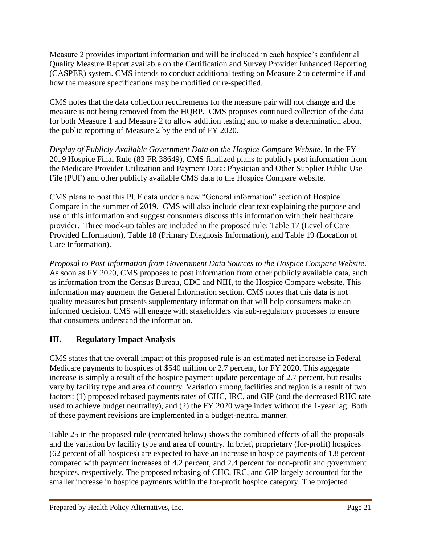Measure 2 provides important information and will be included in each hospice's confidential Quality Measure Report available on the Certification and Survey Provider Enhanced Reporting (CASPER) system. CMS intends to conduct additional testing on Measure 2 to determine if and how the measure specifications may be modified or re-specified.

CMS notes that the data collection requirements for the measure pair will not change and the measure is not being removed from the HQRP. CMS proposes continued collection of the data for both Measure 1 and Measure 2 to allow addition testing and to make a determination about the public reporting of Measure 2 by the end of FY 2020.

*Display of Publicly Available Government Data on the Hospice Compare Website.* In the FY 2019 Hospice Final Rule (83 FR 38649), CMS finalized plans to publicly post information from the Medicare Provider Utilization and Payment Data: Physician and Other Supplier Public Use File (PUF) and other publicly available CMS data to the Hospice Compare website.

CMS plans to post this PUF data under a new "General information" section of Hospice Compare in the summer of 2019. CMS will also include clear text explaining the purpose and use of this information and suggest consumers discuss this information with their healthcare provider. Three mock-up tables are included in the proposed rule: Table 17 (Level of Care Provided Information), Table 18 (Primary Diagnosis Information), and Table 19 (Location of Care Information).

*Proposal to Post Information from Government Data Sources to the Hospice Compare Website*. As soon as FY 2020, CMS proposes to post information from other publicly available data, such as information from the Census Bureau, CDC and NIH, to the Hospice Compare website. This information may augment the General Information section. CMS notes that this data is not quality measures but presents supplementary information that will help consumers make an informed decision. CMS will engage with stakeholders via sub-regulatory processes to ensure that consumers understand the information.

# **III. Regulatory Impact Analysis**

CMS states that the overall impact of this proposed rule is an estimated net increase in Federal Medicare payments to hospices of \$540 million or 2.7 percent, for FY 2020. This aggegate increase is simply a result of the hospice payment update percentage of 2.7 percent, but results vary by facility type and area of country. Variation among facilities and region is a result of two factors: (1) proposed rebased payments rates of CHC, IRC, and GIP (and the decreased RHC rate used to achieve budget neutrality), and (2) the FY 2020 wage index without the 1-year lag. Both of these payment revisions are implemented in a budget-neutral manner.

Table 25 in the proposed rule (recreated below) shows the combined effects of all the proposals and the variation by facility type and area of country. In brief, proprietary (for-profit) hospices (62 percent of all hospices) are expected to have an increase in hospice payments of 1.8 percent compared with payment increases of 4.2 percent, and 2.4 percent for non-profit and government hospices, respectively. The proposed rebasing of CHC, IRC, and GIP largely accounted for the smaller increase in hospice payments within the for-profit hospice category. The projected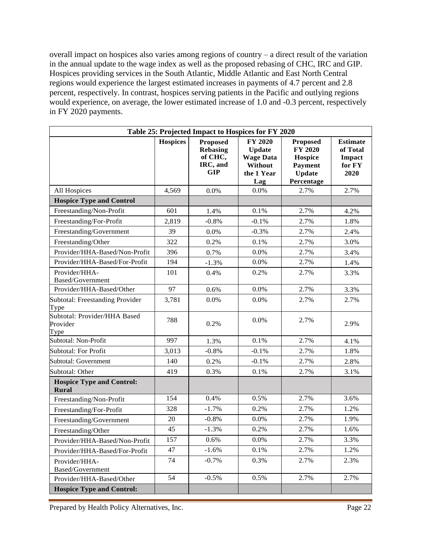overall impact on hospices also varies among regions of country – a direct result of the variation in the annual update to the wage index as well as the proposed rebasing of CHC, IRC and GIP. Hospices providing services in the South Atlantic, Middle Atlantic and East North Central regions would experience the largest estimated increases in payments of 4.7 percent and 2.8 percent, respectively. In contrast, hospices serving patients in the Pacific and outlying regions would experience, on average, the lower estimated increase of 1.0 and -0.3 percent, respectively in FY 2020 payments.

| Table 25: Projected Impact to Hospices for FY 2020 |                 |                                                                         |                                                                                     |                                                                                               |                                                         |
|----------------------------------------------------|-----------------|-------------------------------------------------------------------------|-------------------------------------------------------------------------------------|-----------------------------------------------------------------------------------------------|---------------------------------------------------------|
|                                                    | <b>Hospices</b> | <b>Proposed</b><br><b>Rebasing</b><br>of CHC,<br>IRC, and<br><b>GIP</b> | <b>FY 2020</b><br><b>Update</b><br><b>Wage Data</b><br>Without<br>the 1 Year<br>Lag | <b>Proposed</b><br><b>FY 2020</b><br>Hospice<br><b>Payment</b><br><b>Update</b><br>Percentage | <b>Estimate</b><br>of Total<br>Impact<br>for FY<br>2020 |
| All Hospices                                       | 4,569           | 0.0%                                                                    | 0.0%                                                                                | 2.7%                                                                                          | 2.7%                                                    |
| <b>Hospice Type and Control</b>                    |                 |                                                                         |                                                                                     |                                                                                               |                                                         |
| Freestanding/Non-Profit                            | 601             | 1.4%                                                                    | 0.1%                                                                                | 2.7%                                                                                          | 4.2%                                                    |
| Freestanding/For-Profit                            | 2,819           | $-0.8%$                                                                 | $-0.1%$                                                                             | 2.7%                                                                                          | 1.8%                                                    |
| Freestanding/Government                            | 39              | 0.0%                                                                    | $-0.3%$                                                                             | 2.7%                                                                                          | 2.4%                                                    |
| Freestanding/Other                                 | 322             | 0.2%                                                                    | 0.1%                                                                                | 2.7%                                                                                          | 3.0%                                                    |
| Provider/HHA-Based/Non-Profit                      | 396             | 0.7%                                                                    | 0.0%                                                                                | 2.7%                                                                                          | 3.4%                                                    |
| Provider/HHA-Based/For-Profit                      | 194             | $-1.3%$                                                                 | 0.0%                                                                                | 2.7%                                                                                          | 1.4%                                                    |
| Provider/HHA-<br>Based/Government                  | 101             | 0.4%                                                                    | 0.2%                                                                                | 2.7%                                                                                          | 3.3%                                                    |
| Provider/HHA-Based/Other                           | 97              | 0.6%                                                                    | 0.0%                                                                                | 2.7%                                                                                          | 3.3%                                                    |
| Subtotal: Freestanding Provider<br>Type            | 3,781           | 0.0%                                                                    | 0.0%                                                                                | 2.7%                                                                                          | 2.7%                                                    |
| Subtotal: Provider/HHA Based<br>Provider<br>Type   | 788             | 0.2%                                                                    | 0.0%                                                                                | 2.7%                                                                                          | 2.9%                                                    |
| Subtotal: Non-Profit                               | 997             | 1.3%                                                                    | 0.1%                                                                                | 2.7%                                                                                          | 4.1%                                                    |
| Subtotal: For Profit                               | 3,013           | $-0.8%$                                                                 | $-0.1%$                                                                             | 2.7%                                                                                          | 1.8%                                                    |
| Subtotal: Government                               | 140             | 0.2%                                                                    | $-0.1%$                                                                             | 2.7%                                                                                          | 2.8%                                                    |
| Subtotal: Other                                    | 419             | 0.3%                                                                    | 0.1%                                                                                | 2.7%                                                                                          | 3.1%                                                    |
| <b>Hospice Type and Control:</b><br><b>Rural</b>   |                 |                                                                         |                                                                                     |                                                                                               |                                                         |
| Freestanding/Non-Profit                            | 154             | 0.4%                                                                    | 0.5%                                                                                | 2.7%                                                                                          | 3.6%                                                    |
| Freestanding/For-Profit                            | 328             | $-1.7%$                                                                 | 0.2%                                                                                | 2.7%                                                                                          | 1.2%                                                    |
| Freestanding/Government                            | 20              | $-0.8%$                                                                 | 0.0%                                                                                | 2.7%                                                                                          | 1.9%                                                    |
| Freestanding/Other                                 | 45              | $-1.3%$                                                                 | 0.2%                                                                                | 2.7%                                                                                          | 1.6%                                                    |
| Provider/HHA-Based/Non-Profit                      | 157             | 0.6%                                                                    | 0.0%                                                                                | 2.7%                                                                                          | 3.3%                                                    |
| Provider/HHA-Based/For-Profit                      | 47              | $-1.6%$                                                                 | 0.1%                                                                                | 2.7%                                                                                          | 1.2%                                                    |
| Provider/HHA-<br>Based/Government                  | 74              | $-0.7%$                                                                 | 0.3%                                                                                | 2.7%                                                                                          | 2.3%                                                    |
| Provider/HHA-Based/Other                           | 54              | $-0.5%$                                                                 | 0.5%                                                                                | 2.7%                                                                                          | 2.7%                                                    |
| <b>Hospice Type and Control:</b>                   |                 |                                                                         |                                                                                     |                                                                                               |                                                         |

Prepared by Health Policy Alternatives, Inc. Page 22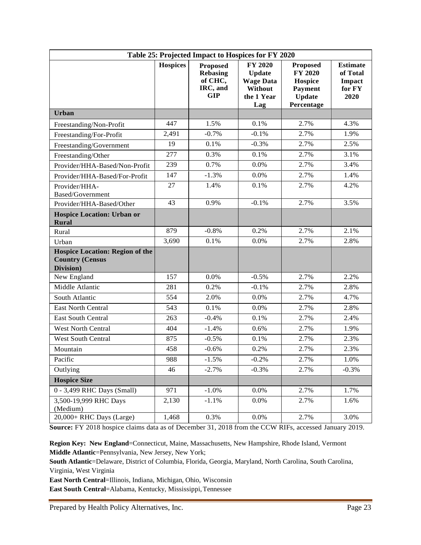| Table 25: Projected Impact to Hospices for FY 2020                            |                 |                                                                         |                                                                                     |                                                                                        |                                                         |
|-------------------------------------------------------------------------------|-----------------|-------------------------------------------------------------------------|-------------------------------------------------------------------------------------|----------------------------------------------------------------------------------------|---------------------------------------------------------|
|                                                                               | <b>Hospices</b> | <b>Proposed</b><br><b>Rebasing</b><br>of CHC,<br>IRC, and<br><b>GIP</b> | <b>FY 2020</b><br><b>Update</b><br><b>Wage Data</b><br>Without<br>the 1 Year<br>Lag | Proposed<br><b>FY 2020</b><br>Hospice<br><b>Payment</b><br><b>Update</b><br>Percentage | <b>Estimate</b><br>of Total<br>Impact<br>for FY<br>2020 |
| <b>Urban</b>                                                                  |                 |                                                                         |                                                                                     |                                                                                        |                                                         |
| Freestanding/Non-Profit                                                       | 447             | 1.5%                                                                    | 0.1%                                                                                | 2.7%                                                                                   | 4.3%                                                    |
| Freestanding/For-Profit                                                       | 2,491           | $-0.7%$                                                                 | $-0.1%$                                                                             | 2.7%                                                                                   | 1.9%                                                    |
| Freestanding/Government                                                       | 19              | 0.1%                                                                    | $-0.3%$                                                                             | 2.7%                                                                                   | 2.5%                                                    |
| Freestanding/Other                                                            | 277             | 0.3%                                                                    | 0.1%                                                                                | 2.7%                                                                                   | 3.1%                                                    |
| Provider/HHA-Based/Non-Profit                                                 | 239             | 0.7%                                                                    | 0.0%                                                                                | 2.7%                                                                                   | 3.4%                                                    |
| Provider/HHA-Based/For-Profit                                                 | 147             | $-1.3%$                                                                 | 0.0%                                                                                | 2.7%                                                                                   | 1.4%                                                    |
| Provider/HHA-<br>Based/Government                                             | 27              | 1.4%                                                                    | 0.1%                                                                                | 2.7%                                                                                   | 4.2%                                                    |
| Provider/HHA-Based/Other                                                      | 43              | 0.9%                                                                    | $-0.1%$                                                                             | 2.7%                                                                                   | 3.5%                                                    |
| <b>Hospice Location: Urban or</b><br><b>Rural</b>                             |                 |                                                                         |                                                                                     |                                                                                        |                                                         |
| Rural                                                                         | 879             | $-0.8%$                                                                 | 0.2%                                                                                | 2.7%                                                                                   | 2.1%                                                    |
| Urban                                                                         | 3,690           | 0.1%                                                                    | 0.0%                                                                                | 2.7%                                                                                   | 2.8%                                                    |
| <b>Hospice Location: Region of the</b><br><b>Country (Census</b><br>Division) |                 |                                                                         |                                                                                     |                                                                                        |                                                         |
| New England                                                                   | 157             | 0.0%                                                                    | $-0.5%$                                                                             | 2.7%                                                                                   | 2.2%                                                    |
| Middle Atlantic                                                               | 281             | 0.2%                                                                    | $-0.1%$                                                                             | 2.7%                                                                                   | 2.8%                                                    |
| South Atlantic                                                                | 554             | 2.0%                                                                    | 0.0%                                                                                | 2.7%                                                                                   | 4.7%                                                    |
| <b>East North Central</b>                                                     | 543             | 0.1%                                                                    | 0.0%                                                                                | 2.7%                                                                                   | 2.8%                                                    |
| <b>East South Central</b>                                                     | 263             | $-0.4%$                                                                 | 0.1%                                                                                | 2.7%                                                                                   | 2.4%                                                    |
| West North Central                                                            | 404             | $-1.4%$                                                                 | 0.6%                                                                                | 2.7%                                                                                   | 1.9%                                                    |
| <b>West South Central</b>                                                     | 875             | $-0.5%$                                                                 | 0.1%                                                                                | 2.7%                                                                                   | 2.3%                                                    |
| Mountain                                                                      | 458             | $-0.6%$                                                                 | 0.2%                                                                                | 2.7%                                                                                   | 2.3%                                                    |
| Pacific                                                                       | 988             | $-1.5%$                                                                 | $-0.2%$                                                                             | 2.7%                                                                                   | 1.0%                                                    |
| Outlying                                                                      | 46              | $-2.7%$                                                                 | $-0.3%$                                                                             | 2.7%                                                                                   | $-0.3%$                                                 |
| <b>Hospice Size</b>                                                           |                 |                                                                         |                                                                                     |                                                                                        |                                                         |
| 0 - 3,499 RHC Days (Small)                                                    | 971             | $-1.0%$                                                                 | 0.0%                                                                                | 2.7%                                                                                   | 1.7%                                                    |
| 3,500-19,999 RHC Days<br>(Medium)                                             | 2,130           | $-1.1%$                                                                 | 0.0%                                                                                | 2.7%                                                                                   | 1.6%                                                    |
| 20,000+ RHC Days (Large)                                                      | 1,468           | 0.3%                                                                    | 0.0%                                                                                | 2.7%                                                                                   | 3.0%                                                    |

**Source:** FY 2018 hospice claims data as of December 31, 2018 from the CCW RIFs, accessed January 2019.

**Region Key: New England**=Connecticut, Maine, Massachusetts, New Hampshire, Rhode Island, Vermont **Middle Atlantic**=Pennsylvania, New Jersey, New York;

**South Atlantic**=Delaware, District of Columbia, Florida, Georgia, Maryland, North Carolina, South Carolina, Virginia, West Virginia

**East North Central**=Illinois, Indiana, Michigan, Ohio, Wisconsin

**East South Central**=Alabama, Kentucky, Mississippi,Tennessee